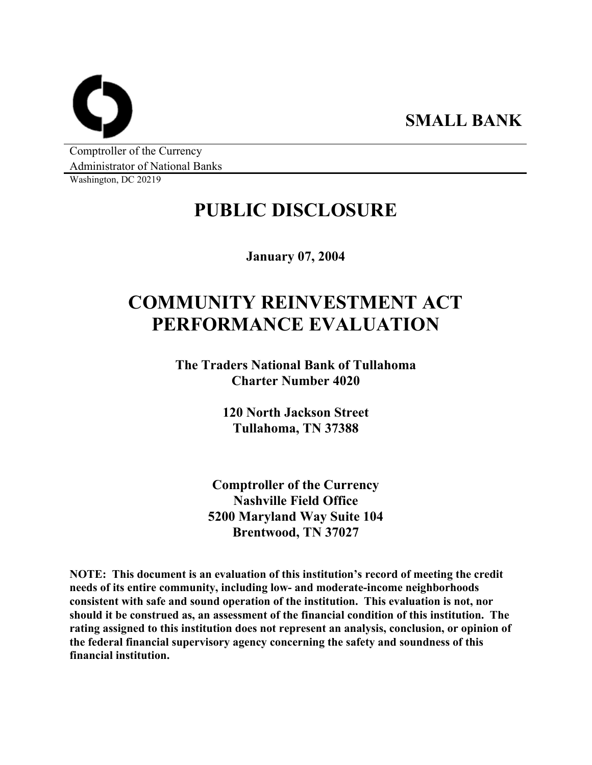**SMALL BANK** 

Comptroller of the Currency Administrator of National Banks

Washington, DC 20219

# **PUBLIC DISCLOSURE**

**January 07, 2004** 

# **COMMUNITY REINVESTMENT ACT PERFORMANCE EVALUATION**

**The Traders National Bank of Tullahoma Charter Number 4020** 

> **120 North Jackson Street Tullahoma, TN 37388**

**Comptroller of the Currency Nashville Field Office 5200 Maryland Way Suite 104 Brentwood, TN 37027** 

**NOTE: This document is an evaluation of this institution's record of meeting the credit needs of its entire community, including low- and moderate-income neighborhoods consistent with safe and sound operation of the institution. This evaluation is not, nor should it be construed as, an assessment of the financial condition of this institution. The rating assigned to this institution does not represent an analysis, conclusion, or opinion of the federal financial supervisory agency concerning the safety and soundness of this financial institution.**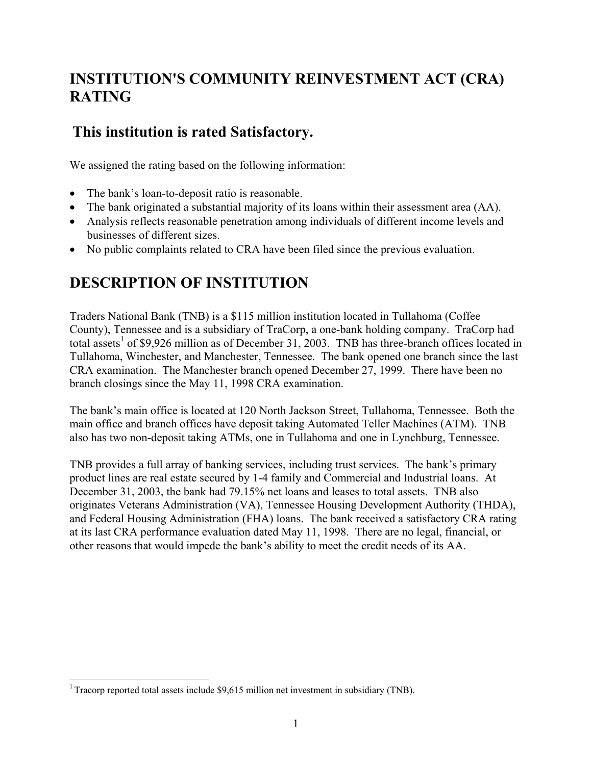## **INSTITUTION'S COMMUNITY REINVESTMENT ACT (CRA) RATING**

### **This institution is rated Satisfactory.**

We assigned the rating based on the following information:

- The bank's loan-to-deposit ratio is reasonable.
- The bank originated a substantial majority of its loans within their assessment area (AA).
- Analysis reflects reasonable penetration among individuals of different income levels and businesses of different sizes.
- No public complaints related to CRA have been filed since the previous evaluation.

## **DESCRIPTION OF INSTITUTION**

Traders National Bank (TNB) is a \$115 million institution located in Tullahoma (Coffee County), Tennessee and is a subsidiary of TraCorp, a one-bank holding company. TraCorp had total assets<sup>1</sup> of \$9,926 million as of December 31, 2003. TNB has three-branch offices located in Tullahoma, Winchester, and Manchester, Tennessee. The bank opened one branch since the last CRA examination. The Manchester branch opened December 27, 1999. There have been no branch closings since the May 11, 1998 CRA examination.

The bank's main office is located at 120 North Jackson Street, Tullahoma, Tennessee. Both the main office and branch offices have deposit taking Automated Teller Machines (ATM). TNB also has two non-deposit taking ATMs, one in Tullahoma and one in Lynchburg, Tennessee.

TNB provides a full array of banking services, including trust services. The bank's primary product lines are real estate secured by 1-4 family and Commercial and Industrial loans. At December 31, 2003, the bank had 79.15% net loans and leases to total assets. TNB also originates Veterans Administration (VA), Tennessee Housing Development Authority (THDA), and Federal Housing Administration (FHA) loans. The bank received a satisfactory CRA rating at its last CRA performance evaluation dated May 11, 1998. There are no legal, financial, or other reasons that would impede the bank's ability to meet the credit needs of its AA.

 $\overline{a}$ 

<sup>&</sup>lt;sup>1</sup> Tracorp reported total assets include \$9,615 million net investment in subsidiary (TNB).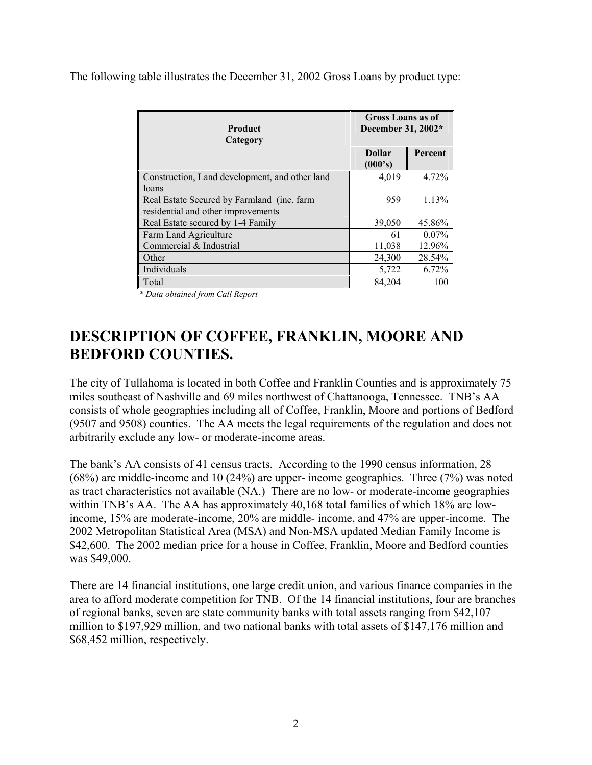The following table illustrates the December 31, 2002 Gross Loans by product type:

| <b>Product</b><br>Category                     | <b>Gross Loans as of</b><br>December 31, 2002* |          |  |  |
|------------------------------------------------|------------------------------------------------|----------|--|--|
|                                                | <b>Dollar</b><br>(000's)                       | Percent  |  |  |
| Construction, Land development, and other land | 4,019                                          | 4.72%    |  |  |
| loans                                          |                                                |          |  |  |
| Real Estate Secured by Farmland (inc. farm     | 959                                            | 1.13%    |  |  |
| residential and other improvements             |                                                |          |  |  |
| Real Estate secured by 1-4 Family              | 39,050                                         | 45.86%   |  |  |
| Farm Land Agriculture                          | 61                                             | $0.07\%$ |  |  |
| Commercial & Industrial                        | 11,038                                         | 12.96%   |  |  |
| Other                                          | 24,300                                         | 28.54%   |  |  |
| Individuals                                    | 5,722                                          | 6.72%    |  |  |
| Total                                          | 84,204                                         | 100      |  |  |

*\* Data obtained from Call Report* 

## **DESCRIPTION OF COFFEE, FRANKLIN, MOORE AND BEDFORD COUNTIES.**

The city of Tullahoma is located in both Coffee and Franklin Counties and is approximately 75 miles southeast of Nashville and 69 miles northwest of Chattanooga, Tennessee. TNB's AA consists of whole geographies including all of Coffee, Franklin, Moore and portions of Bedford (9507 and 9508) counties. The AA meets the legal requirements of the regulation and does not arbitrarily exclude any low- or moderate-income areas.

The bank's AA consists of 41 census tracts. According to the 1990 census information, 28 (68%) are middle-income and 10 (24%) are upper- income geographies. Three (7%) was noted as tract characteristics not available (NA.) There are no low- or moderate-income geographies within TNB's AA. The AA has approximately 40,168 total families of which 18% are lowincome, 15% are moderate-income, 20% are middle- income, and 47% are upper-income. The 2002 Metropolitan Statistical Area (MSA) and Non-MSA updated Median Family Income is \$42,600. The 2002 median price for a house in Coffee, Franklin, Moore and Bedford counties was \$49,000.

There are 14 financial institutions, one large credit union, and various finance companies in the area to afford moderate competition for TNB. Of the 14 financial institutions, four are branches of regional banks, seven are state community banks with total assets ranging from \$42,107 million to \$197,929 million, and two national banks with total assets of \$147,176 million and \$68,452 million, respectively.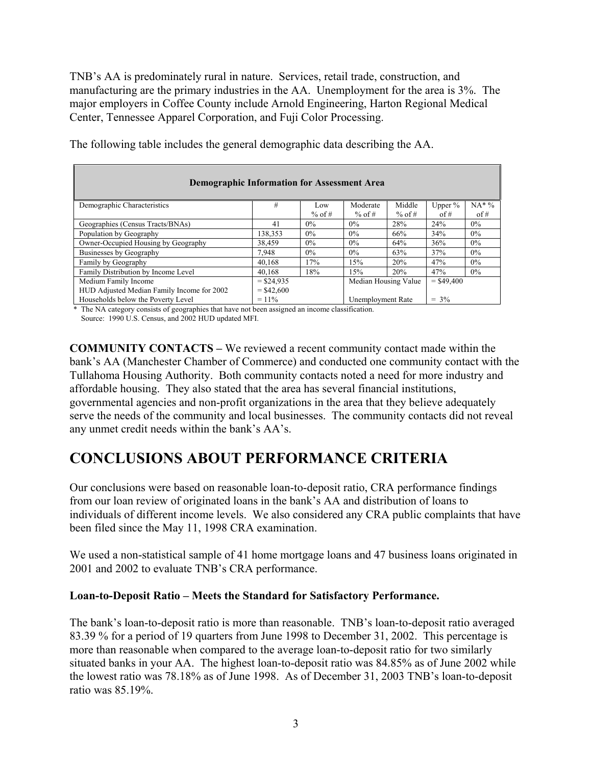TNB's AA is predominately rural in nature. Services, retail trade, construction, and manufacturing are the primary industries in the AA. Unemployment for the area is 3%. The major employers in Coffee County include Arnold Engineering, Harton Regional Medical Center, Tennessee Apparel Corporation, and Fuji Color Processing.

| <b>Demographic Information for Assessment Area</b>                             |                                                      |          |          |        |           |          |  |  |  |  |
|--------------------------------------------------------------------------------|------------------------------------------------------|----------|----------|--------|-----------|----------|--|--|--|--|
| Demographic Characteristics                                                    | #                                                    | Low      | Moderate | Middle | Upper $%$ | $NA^*$ % |  |  |  |  |
|                                                                                |                                                      | $%$ of # | % of #   | % of # | of #      | of #     |  |  |  |  |
| Geographies (Census Tracts/BNAs)                                               | 41                                                   | $0\%$    | $0\%$    | 28%    | 24%       | $0\%$    |  |  |  |  |
| Population by Geography                                                        | 138,353                                              | $0\%$    | $0\%$    | 66%    | 34%       | $0\%$    |  |  |  |  |
| Owner-Occupied Housing by Geography                                            | 38.459                                               | $0\%$    | $0\%$    | 64%    | 36%       | $0\%$    |  |  |  |  |
| Businesses by Geography                                                        | 7.948                                                | $0\%$    | $0\%$    | 63%    | 37%       | $0\%$    |  |  |  |  |
| Family by Geography                                                            | 40,168                                               | 17%      | 15%      | 20%    | 47%       | $0\%$    |  |  |  |  |
| Family Distribution by Income Level                                            | 40.168                                               | 18%      | 15%      | 20%    | 47%       | $0\%$    |  |  |  |  |
| Medium Family Income                                                           | $=$ \$24.935<br>Median Housing Value<br>$=$ \$49.400 |          |          |        |           |          |  |  |  |  |
| HUD Adjusted Median Family Income for 2002<br>$=$ \$42,600                     |                                                      |          |          |        |           |          |  |  |  |  |
| Households below the Poverty Level<br>$= 3\%$<br>$= 11\%$<br>Unemployment Rate |                                                      |          |          |        |           |          |  |  |  |  |

The following table includes the general demographic data describing the AA.

 \* The NA category consists of geographies that have not been assigned an income classification. Source: 1990 U.S. Census, and 2002 HUD updated MFI.

**COMMUNITY CONTACTS –** We reviewed a recent community contact made within the bank's AA (Manchester Chamber of Commerce) and conducted one community contact with the Tullahoma Housing Authority. Both community contacts noted a need for more industry and affordable housing. They also stated that the area has several financial institutions, governmental agencies and non-profit organizations in the area that they believe adequately serve the needs of the community and local businesses. The community contacts did not reveal any unmet credit needs within the bank's AA's.

### **CONCLUSIONS ABOUT PERFORMANCE CRITERIA**

Our conclusions were based on reasonable loan-to-deposit ratio, CRA performance findings from our loan review of originated loans in the bank's AA and distribution of loans to individuals of different income levels. We also considered any CRA public complaints that have been filed since the May 11, 1998 CRA examination.

We used a non-statistical sample of 41 home mortgage loans and 47 business loans originated in 2001 and 2002 to evaluate TNB's CRA performance.

#### **Loan-to-Deposit Ratio – Meets the Standard for Satisfactory Performance.**

The bank's loan-to-deposit ratio is more than reasonable. TNB's loan-to-deposit ratio averaged 83.39 % for a period of 19 quarters from June 1998 to December 31, 2002. This percentage is more than reasonable when compared to the average loan-to-deposit ratio for two similarly situated banks in your AA.The highest loan-to-deposit ratio was 84.85% as of June 2002 while the lowest ratio was 78.18% as of June 1998. As of December 31, 2003 TNB's loan-to-deposit ratio was 85.19%.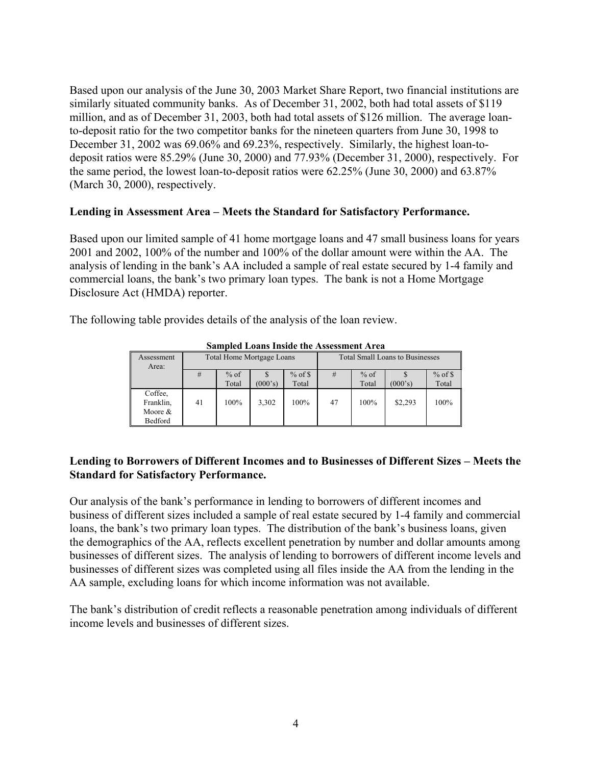Based upon our analysis of the June 30, 2003 Market Share Report, two financial institutions are similarly situated community banks. As of December 31, 2002, both had total assets of \$119 million, and as of December 31, 2003, both had total assets of \$126 million. The average loanto-deposit ratio for the two competitor banks for the nineteen quarters from June 30, 1998 to December 31, 2002 was 69.06% and 69.23%, respectively. Similarly, the highest loan-todeposit ratios were 85.29% (June 30, 2000) and 77.93% (December 31, 2000), respectively. For the same period, the lowest loan-to-deposit ratios were 62.25% (June 30, 2000) and 63.87% (March 30, 2000), respectively.

#### **Lending in Assessment Area – Meets the Standard for Satisfactory Performance.**

Based upon our limited sample of 41 home mortgage loans and 47 small business loans for years 2001 and 2002, 100% of the number and 100% of the dollar amount were within the AA. The analysis of lending in the bank's AA included a sample of real estate secured by 1-4 family and commercial loans, the bank's two primary loan types. The bank is not a Home Mortgage Disclosure Act (HMDA) reporter.

The following table provides details of the analysis of the loan review.

| Assessment<br>Area:                           |    | Total Home Mortgage Loans |         |           | <b>Total Small Loans to Businesses</b> |        |         |           |  |
|-----------------------------------------------|----|---------------------------|---------|-----------|----------------------------------------|--------|---------|-----------|--|
|                                               | #  | $%$ of                    |         | $%$ of \$ | #                                      | $%$ of |         | $%$ of \$ |  |
|                                               |    | Total                     | (000's) | Total     |                                        | Total  | (000's) | Total     |  |
| Coffee.<br>Franklin,<br>Moore $\&$<br>Bedford | 41 | 100%                      | 3,302   | 100%      | 47                                     | 100%   | \$2,293 | 100%      |  |

**Sampled Loans Inside the Assessment Area** 

#### **Lending to Borrowers of Different Incomes and to Businesses of Different Sizes – Meets the Standard for Satisfactory Performance.**

Our analysis of the bank's performance in lending to borrowers of different incomes and business of different sizes included a sample of real estate secured by 1-4 family and commercial loans, the bank's two primary loan types. The distribution of the bank's business loans, given the demographics of the AA, reflects excellent penetration by number and dollar amounts among businesses of different sizes. The analysis of lending to borrowers of different income levels and businesses of different sizes was completed using all files inside the AA from the lending in the AA sample, excluding loans for which income information was not available.

The bank's distribution of credit reflects a reasonable penetration among individuals of different income levels and businesses of different sizes.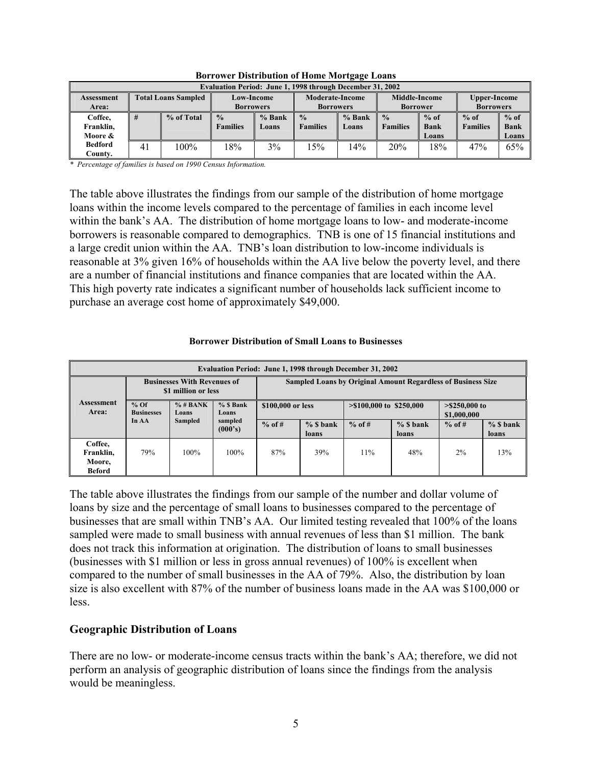| Evaluation Period: June 1, 1998 through December 31, 2002 |                                          |            |                                      |                        |                 |                                         |                 |                     |                 |             |  |
|-----------------------------------------------------------|------------------------------------------|------------|--------------------------------------|------------------------|-----------------|-----------------------------------------|-----------------|---------------------|-----------------|-------------|--|
| <b>Assessment</b>                                         | <b>Total Loans Sampled</b><br>Low-Income |            |                                      | <b>Moderate-Income</b> |                 | <b>Middle-Income</b><br><b>Borrower</b> |                 | <b>Upper-Income</b> |                 |             |  |
| Area:                                                     |                                          |            | <b>Borrowers</b><br><b>Borrowers</b> |                        |                 |                                         |                 | <b>Borrowers</b>    |                 |             |  |
| Coffee,                                                   | #                                        | % of Total | $\frac{0}{0}$                        | $%$ Bank               | $\frac{0}{0}$   | $%$ Bank                                | $\frac{0}{0}$   | $%$ of              | $%$ of          | $%$ of      |  |
| Franklin,                                                 |                                          |            | <b>Families</b>                      | Loans                  | <b>Families</b> | Loans                                   | <b>Families</b> | <b>Bank</b>         | <b>Families</b> | <b>Bank</b> |  |
| Moore &                                                   |                                          |            |                                      |                        |                 |                                         |                 | Loans               |                 | Loans       |  |
| <b>Bedford</b>                                            | 41                                       | 100%       | 18%                                  | 3%                     | 15%             | $14\%$                                  | 20%             | $8\%$               | 47%             | 65%         |  |
| Countv.                                                   |                                          |            |                                      |                        |                 |                                         |                 |                     |                 |             |  |

**Borrower Distribution of Home Mortgage Loans** 

*\* Percentage of families is based on 1990 Census Information.* 

The table above illustrates the findings from our sample of the distribution of home mortgage loans within the income levels compared to the percentage of families in each income level within the bank's AA. The distribution of home mortgage loans to low- and moderate-income borrowers is reasonable compared to demographics. TNB is one of 15 financial institutions and a large credit union within the AA. TNB's loan distribution to low-income individuals is reasonable at 3% given 16% of households within the AA live below the poverty level, and there are a number of financial institutions and finance companies that are located within the AA. This high poverty rate indicates a significant number of households lack sufficient income to purchase an average cost home of approximately \$49,000.

#### **Borrower Distribution of Small Loans to Businesses**

| Evaluation Period: June 1, 1998 through December 31, 2002 |                                                                           |                    |          |                                                                     |          |                            |          |                                |     |  |
|-----------------------------------------------------------|---------------------------------------------------------------------------|--------------------|----------|---------------------------------------------------------------------|----------|----------------------------|----------|--------------------------------|-----|--|
| Assessment<br>Area:                                       | <b>Businesses With Revenues of</b><br>\$1 million or less                 |                    |          | <b>Sampled Loans by Original Amount Regardless of Business Size</b> |          |                            |          |                                |     |  |
|                                                           | $%$ Of<br>$%$ # BANK<br>$%$ S Bank<br><b>Businesses</b><br>Loans<br>Loans |                    |          | \$100,000 or less                                                   |          | $> $100,000$ to $$250,000$ |          | $> $250,000$ to<br>\$1,000,000 |     |  |
|                                                           | In AA<br><b>Sampled</b>                                                   | sampled<br>(000's) | $%$ of # | $%$ S bank<br>loans                                                 | $%$ of # | $%$ S bank<br>loans        | $%$ of # | $%$ S bank<br>loans            |     |  |
| Coffee,<br>Franklin.<br>Moore,<br><b>Beford</b>           | 79%                                                                       | $100\%$            | 100%     | 87%                                                                 | 39%      | 11%                        | 48%      | 2%                             | 13% |  |

The table above illustrates the findings from our sample of the number and dollar volume of loans by size and the percentage of small loans to businesses compared to the percentage of businesses that are small within TNB's AA. Our limited testing revealed that 100% of the loans sampled were made to small business with annual revenues of less than \$1 million. The bank does not track this information at origination. The distribution of loans to small businesses (businesses with \$1 million or less in gross annual revenues) of 100% is excellent when compared to the number of small businesses in the AA of 79%. Also, the distribution by loan size is also excellent with 87% of the number of business loans made in the AA was \$100,000 or less.

#### **Geographic Distribution of Loans**

There are no low- or moderate-income census tracts within the bank's AA; therefore, we did not perform an analysis of geographic distribution of loans since the findings from the analysis would be meaningless.